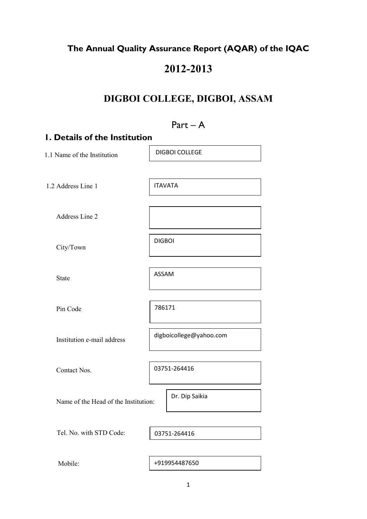# The Annual Quality Assurance Report (AQAR) of the IQAC

# 2012-2013

# DIGBOI COLLEGE, DIGBOI, ASSAM

# Part – A 1. Details of the Institution 1.1 Name of the Institution 1.2 Address Line 1 Address Line 2 City/Town State Pin Code Institution e-mail address Contact Nos. Name of the Head of the Institution: Tel. No. with STD Code: Mobile: 03751-264416 DIGBOI COLLEGE ITAVATA DIGBOI ASSAM 786171 digboicollege@yahoo.com Dr. Dip Saikia +919954487650 03751-264416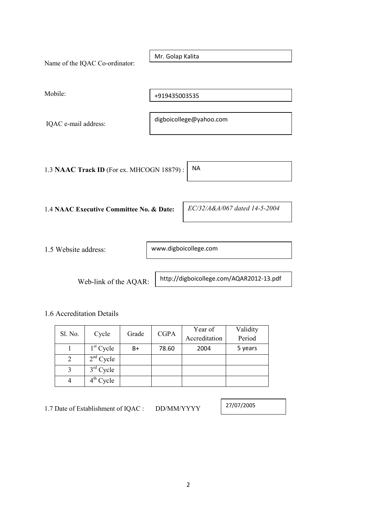Name of the IQAC Co-ordinator: Mobile: IQAC e-mail address: 1.3 NAAC Track ID (For ex. MHCOGN 18879) : 1.4 NAAC Executive Committee No. & Date: 1.5 Website address: Web-link of the AQAR: 1.6 Accreditation Details www.digboicollege.com digboicollege@yahoo.com http://digboicollege.com/AQAR2012-13.pdf Mr. Golap Kalita +919435003535 NA EC/32/A&A/067 dated 14-5-2004

| Sl. No. |             | Grade | <b>CGPA</b> | Year of       | Validity |
|---------|-------------|-------|-------------|---------------|----------|
|         | Cycle       |       |             | Accreditation | Period   |
|         | $1st$ Cycle | B+    | 78.60       | 2004          | 5 years  |
| 2       | $2nd$ Cycle |       |             |               |          |
|         | $3rd$ Cycle |       |             |               |          |
|         | $4th$ Cycle |       |             |               |          |

1.7 Date of Establishment of IQAC : DD/MM/YYYY

27/07/2005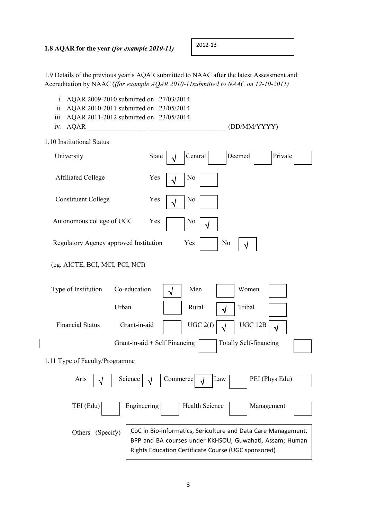2012-13

1.9 Details of the previous year's AQAR submitted to NAAC after the latest Assessment and Accreditation by NAAC ((for example AQAR 2010-11submitted to NAAC on 12-10-2011)

| AQAR 2009-2010 submitted on 27/03/2014<br>i.<br>ii.<br>AQAR 2010-2011 submitted on 23/05/2014<br>iii. |                                                                                                                                                                                 |
|-------------------------------------------------------------------------------------------------------|---------------------------------------------------------------------------------------------------------------------------------------------------------------------------------|
| AQAR 2011-2012 submitted on 23/05/2014<br>iv. AQAR                                                    | (DD/MM/YYYY)                                                                                                                                                                    |
| 1.10 Institutional Status                                                                             |                                                                                                                                                                                 |
| University                                                                                            | Central<br>Deemed<br>Private<br><b>State</b><br>√                                                                                                                               |
| <b>Affiliated College</b>                                                                             | Yes<br>N <sub>0</sub><br>√                                                                                                                                                      |
| <b>Constituent College</b>                                                                            | Yes<br>N <sub>0</sub><br>√                                                                                                                                                      |
| Autonomous college of UGC                                                                             | Yes<br>N <sub>0</sub>                                                                                                                                                           |
| Regulatory Agency approved Institution                                                                | Yes<br>No<br>√                                                                                                                                                                  |
| (eg. AICTE, BCI, MCI, PCI, NCI)                                                                       |                                                                                                                                                                                 |
| Type of Institution                                                                                   | Co-education<br>Men<br>Women<br>$\sqrt{}$                                                                                                                                       |
| Urban                                                                                                 | Tribal<br>Rural<br>$\sqrt{ }$                                                                                                                                                   |
| <b>Financial Status</b>                                                                               | UGC 2(f)<br>Grant-in-aid<br><b>UGC 12B</b><br>$\sqrt{}$<br>$\sqrt{ }$                                                                                                           |
|                                                                                                       | <b>Totally Self-financing</b><br>Grant-in-aid $+$ Self Financing                                                                                                                |
| 1.11 Type of Faculty/Programme                                                                        |                                                                                                                                                                                 |
| Science<br>Arts                                                                                       | PEI (Phys Edu)<br>Commerce<br>Law                                                                                                                                               |
| TEI (Edu)                                                                                             | Engineering<br>Health Science<br>Management                                                                                                                                     |
| Others<br>(Specify)                                                                                   | CoC in Bio-informatics, Sericulture and Data Care Management,<br>BPP and BA courses under KKHSOU, Guwahati, Assam; Human<br>Rights Education Certificate Course (UGC sponsored) |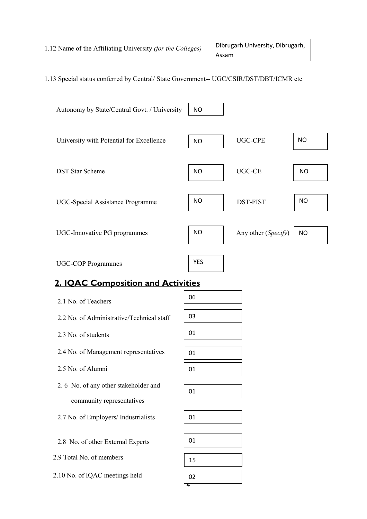1.12 Name of the Affiliating University (for the Colleges)

Dibrugarh University, Dibrugarh, Assam

### 1.13 Special status conferred by Central/ State Government-- UGC/CSIR/DST/DBT/ICMR etc



# 2. IQAC Composition and Activities

| 2.1 No. of Teachers                       | 06 |
|-------------------------------------------|----|
| 2.2 No. of Administrative/Technical staff | 03 |
| 2.3 No. of students                       | 01 |
| 2.4 No. of Management representatives     | 01 |
| 2.5 No. of Alumni                         | 01 |
| 2.6 No. of any other stakeholder and      | 01 |
| community representatives                 |    |
| 2.7 No. of Employers/ Industrialists      | 01 |
|                                           |    |
| 2.8 No. of other External Experts         | 01 |
| 2.9 Total No. of members                  | 15 |
| 2.10 No. of IQAC meetings held            | 02 |

 $\overline{a}$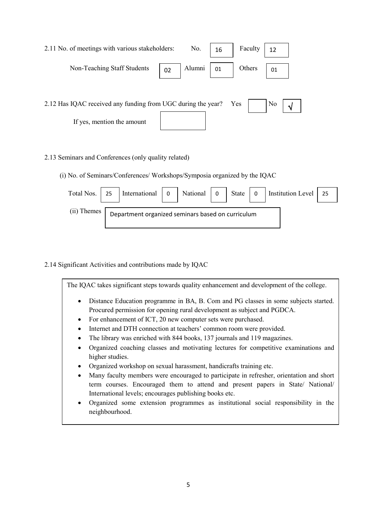| 2.11 No. of meetings with various stakeholders:                  |    | No.    | 16 | Faculty | 12  |  |
|------------------------------------------------------------------|----|--------|----|---------|-----|--|
| Non-Teaching Staff Students                                      | 02 | Alumni | 01 | Others  | 101 |  |
|                                                                  |    |        |    |         |     |  |
| 2.12 Has IQAC received any funding from UGC during the year? Yes |    |        |    |         | No  |  |
| If yes, mention the amount                                       |    |        |    |         |     |  |

### 2.13 Seminars and Conferences (only quality related)

(i) No. of Seminars/Conferences/ Workshops/Symposia organized by the IQAC

| Total Nos.  | 25 | International 0                                   | National 0 | State $\vert$ 0 | Institution Level | - 25 |
|-------------|----|---------------------------------------------------|------------|-----------------|-------------------|------|
| (ii) Themes |    | Department organized seminars based on curriculum |            |                 |                   |      |

2.14 Significant Activities and contributions made by IQAC

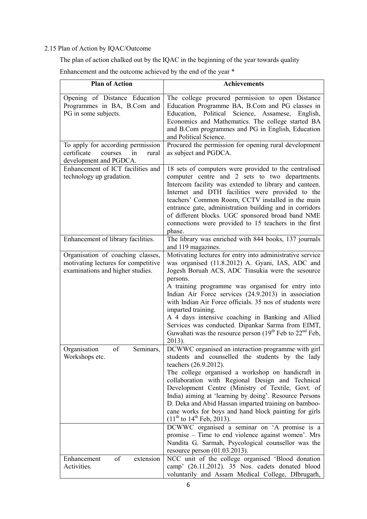# 2.15 Plan of Action by IQAC/Outcome

The plan of action chalked out by the IQAC in the beginning of the year towards quality

Enhancement and the outcome achieved by the end of the year \*

| <b>Plan of Action</b>                                                                                        | <b>Achievements</b>                                                                                                                                                                                                                                                                                                                                                                                                                                                                                                                                                                                                                                                   |
|--------------------------------------------------------------------------------------------------------------|-----------------------------------------------------------------------------------------------------------------------------------------------------------------------------------------------------------------------------------------------------------------------------------------------------------------------------------------------------------------------------------------------------------------------------------------------------------------------------------------------------------------------------------------------------------------------------------------------------------------------------------------------------------------------|
| Opening of Distance Education<br>Programmes in BA, B.Com and<br>PG in some subjects.                         | The college procured permission to open Distance<br>Education Programme BA, B.Com and PG classes in<br>Education, Political Science, Assamese, English,<br>Economics and Mathematics. The college started BA<br>and B.Com programmes and PG in English, Education<br>and Political Science.                                                                                                                                                                                                                                                                                                                                                                           |
| To apply for according permission<br>certificate<br>courses<br>in<br>rural<br>development and PGDCA.         | Procured the permission for opening rural development<br>as subject and PGDCA.                                                                                                                                                                                                                                                                                                                                                                                                                                                                                                                                                                                        |
| Enhancement of ICT facilities and<br>technology up gradation.                                                | 18 sets of computers were provided to the centralised<br>computer centre and 2 sets to two departments.<br>Intercom facility was extended to library and canteen.<br>Internet and DTH facilities were provided to the<br>teachers' Common Room, CCTV installed in the main<br>entrance gate, administration building and in corridors<br>of different blocks. UGC sponsored broad band NME<br>connections were provided to 15 teachers in the first<br>phase.                                                                                                                                                                                                         |
| Enhancement of library facilities.                                                                           | The library was enriched with 844 books, 137 journals<br>and 119 magazines.                                                                                                                                                                                                                                                                                                                                                                                                                                                                                                                                                                                           |
| Organisation of coaching classes,<br>motivating lectures for competitive<br>examinations and higher studies. | Motivating lectures for entry into administrative service<br>was organised (11.8.2012) A. Gyani, IAS, ADC and<br>Jogesh Boruah ACS, ADC Tinsukia were the sesource<br>persons.<br>A training programme was organised for entry into<br>Indian Air Force services (24.9.2013) in association<br>with Indian Air Force officials. 35 nos of students were<br>imparted training.<br>A 4 days intensive coaching in Banking and Allied<br>Services was conducted. Dipankar Sarma from EIMT,<br>Guwahati was the resource person $(19th$ Feb to $22nd$ Feb,<br>$2013$ ).                                                                                                   |
| of<br>Organisation<br>Seminars,<br>Workshops etc.                                                            | DCWWC organised an interaction programme with girl<br>students and counselled the students by the lady<br>teachers (26.9.2012).<br>The college organised a workshop on handicraft in<br>collaboration with Regional Design and Technical<br>Development Centre (Ministry of Textile, Govt. of<br>India) aiming at 'learning by doing'. Resource Persons<br>D. Deka and Abid Hassan imparted training on bamboo-<br>cane works for boys and hand block painting for girls<br>$(11th$ to $14th$ Feb, 2013).<br>DCWWC organised a seminar on 'A promise is a<br>promise – Time to end violence against women'. Mrs<br>Nandita G. Sarmah, Psycological counsellor was the |
| of<br>Enhancement<br>extension<br>Activities.                                                                | resource person $(01.03.2013)$ .<br>NCC unit of the college organised 'Blood donation<br>camp' (26.11.2012). 35 Nos. cadets donated blood<br>voluntarily and Assam Medical College, DIbrugarh,                                                                                                                                                                                                                                                                                                                                                                                                                                                                        |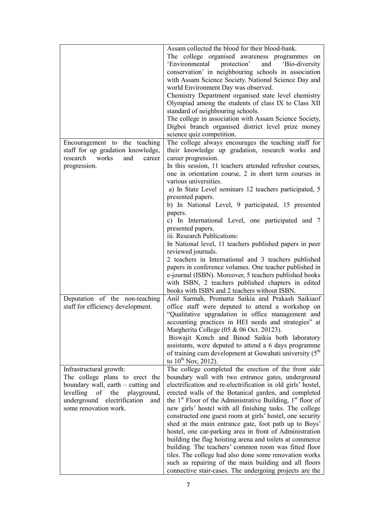|                                                                     | Assam collected the blood for their blood-bank.<br>The college organised awareness programmes on<br>'Environmental<br>protection'<br>and 'Bio-diversity<br>conservation' in neighbouring schools in association<br>with Assam Science Society. National Science Day and<br>world Environment Day was observed.<br>Chemistry Department organised state level chemistry<br>Olympiad among the students of class IX to Class XII<br>standard of neighbouring schools.<br>The college in association with Assam Science Society,<br>Digboi branch organised district level prize money<br>science quiz competition. |
|---------------------------------------------------------------------|------------------------------------------------------------------------------------------------------------------------------------------------------------------------------------------------------------------------------------------------------------------------------------------------------------------------------------------------------------------------------------------------------------------------------------------------------------------------------------------------------------------------------------------------------------------------------------------------------------------|
| Encouragement to the teaching<br>staff for up gradation knowledge,  | The college always encourages the teaching staff for                                                                                                                                                                                                                                                                                                                                                                                                                                                                                                                                                             |
| research works<br>and<br>career                                     | their knowledge up gradation, research works and<br>career progression.                                                                                                                                                                                                                                                                                                                                                                                                                                                                                                                                          |
| progression.                                                        | In this session, 11 teachers attended refresher courses,                                                                                                                                                                                                                                                                                                                                                                                                                                                                                                                                                         |
|                                                                     | one in orientation course, 2 in short term courses in                                                                                                                                                                                                                                                                                                                                                                                                                                                                                                                                                            |
|                                                                     | various universities.                                                                                                                                                                                                                                                                                                                                                                                                                                                                                                                                                                                            |
|                                                                     | a) In State Level seminars 12 teachers participated, 5<br>presented papers.                                                                                                                                                                                                                                                                                                                                                                                                                                                                                                                                      |
|                                                                     | b) In National Level, 9 participated, 15 presented                                                                                                                                                                                                                                                                                                                                                                                                                                                                                                                                                               |
|                                                                     | papers.                                                                                                                                                                                                                                                                                                                                                                                                                                                                                                                                                                                                          |
|                                                                     | c) In International Level, one participated and 7<br>presented papers.                                                                                                                                                                                                                                                                                                                                                                                                                                                                                                                                           |
|                                                                     | iii. Research Publications:                                                                                                                                                                                                                                                                                                                                                                                                                                                                                                                                                                                      |
|                                                                     | In National level, 11 teachers published papers in peer                                                                                                                                                                                                                                                                                                                                                                                                                                                                                                                                                          |
|                                                                     | reviewed journals.                                                                                                                                                                                                                                                                                                                                                                                                                                                                                                                                                                                               |
|                                                                     | 2 teachers in International and 3 teachers published<br>papers in conference volumes. One teacher published in                                                                                                                                                                                                                                                                                                                                                                                                                                                                                                   |
|                                                                     | e-journal (ISBN). Moreover, 5 teachers published books                                                                                                                                                                                                                                                                                                                                                                                                                                                                                                                                                           |
|                                                                     | with ISBN, 2 teachers published chapters in edited                                                                                                                                                                                                                                                                                                                                                                                                                                                                                                                                                               |
|                                                                     | books with ISBN and 2 teachers without ISBN.                                                                                                                                                                                                                                                                                                                                                                                                                                                                                                                                                                     |
| Deputation of the non-teaching<br>staff for efficiency development. | Anil Sarmah, Promatta Saikia and Prakash Saikiaof<br>office staff were deputed to attend a workshop on<br>"Qualitative upgradation in office management and<br>accounting practices in HEI needs and strategies" at<br>Margherita College (05 & 06 Oct. 20123).<br>Biswajit Konch and Binod Saikia both laboratory<br>assistants, were deputed to attend a 6 days programme<br>of training cum development at Guwahati university (5 <sup>th</sup><br>to 10 <sup>th</sup> Nov, 2012).                                                                                                                            |
| Infrastructural growth:<br>The college plans to erect the           | The college completed the erection of the front side<br>boundary wall with two entrance gates, underground                                                                                                                                                                                                                                                                                                                                                                                                                                                                                                       |
| boundary wall, earth – cutting and                                  | electrification and re-electrification in old girls' hostel,                                                                                                                                                                                                                                                                                                                                                                                                                                                                                                                                                     |
| levelling<br>of the<br>playground,                                  | erected walls of the Botanical garden, and completed                                                                                                                                                                                                                                                                                                                                                                                                                                                                                                                                                             |
| underground electrification<br>and<br>some renovation work.         | the $1st$ Floor of the Administrative Building, $1st$ floor of                                                                                                                                                                                                                                                                                                                                                                                                                                                                                                                                                   |
|                                                                     | new girls' hostel with all finishing tasks. The college<br>constructed one guest room at girls' hostel, one security<br>shed at the main entrance gate, foot path up to Boys'<br>hostel, one car-parking area in front of Administration                                                                                                                                                                                                                                                                                                                                                                         |
|                                                                     | building the flag hoisting arena and toilets at commerce                                                                                                                                                                                                                                                                                                                                                                                                                                                                                                                                                         |
|                                                                     | building. The teachers' common room was fitted floor<br>tiles. The college had also done some renovation works                                                                                                                                                                                                                                                                                                                                                                                                                                                                                                   |
|                                                                     | such as repairing of the main building and all floors                                                                                                                                                                                                                                                                                                                                                                                                                                                                                                                                                            |
|                                                                     | connective stair-cases. The undergoing projects are the                                                                                                                                                                                                                                                                                                                                                                                                                                                                                                                                                          |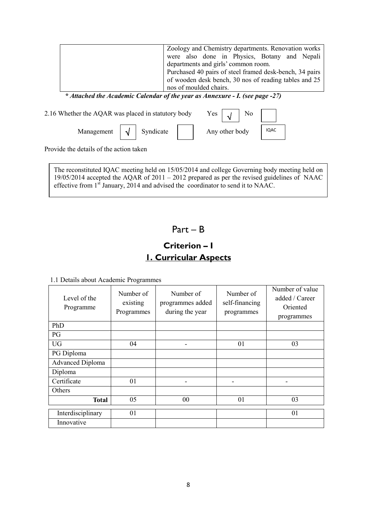|                                                    | Zoology and Chemistry departments. Renovation works<br>were also done in Physics, Botany and Nepali<br>departments and girls' common room.<br>Purchased 40 pairs of steel framed desk-bench, 34 pairs<br>of wooden desk bench, 30 nos of reading tables and 25<br>nos of moulded chairs.<br>* Attached the Academic Calendar of the year as Annexure - I. (see page -27) |
|----------------------------------------------------|--------------------------------------------------------------------------------------------------------------------------------------------------------------------------------------------------------------------------------------------------------------------------------------------------------------------------------------------------------------------------|
| 2.16 Whether the AQAR was placed in statutory body | Yes<br>N <sub>0</sub>                                                                                                                                                                                                                                                                                                                                                    |
| Syndicate<br>Management                            | <b>IQAC</b><br>Any other body                                                                                                                                                                                                                                                                                                                                            |

Provide the details of the action taken

The reconstituted IQAC meeting held on 15/05/2014 and college Governing body meeting held on 19/05/2014 accepted the AQAR of 2011 – 2012 prepared as per the revised guidelines of NAAC effective from  $1<sup>st</sup>$  January, 2014 and advised the coordinator to send it to NAAC.

# Part – B

# Criterion – I 1. Curricular Aspects

1.1 Details about Academic Programmes

| Level of the<br>Programme | Number of<br>existing<br>Programmes | Number of<br>programmes added<br>during the year | Number of<br>self-financing<br>programmes | Number of value<br>added / Career<br>Oriented<br>programmes |
|---------------------------|-------------------------------------|--------------------------------------------------|-------------------------------------------|-------------------------------------------------------------|
| PhD                       |                                     |                                                  |                                           |                                                             |
| PG                        |                                     |                                                  |                                           |                                                             |
| <b>UG</b>                 | 04                                  |                                                  | 01                                        | 03                                                          |
| PG Diploma                |                                     |                                                  |                                           |                                                             |
| <b>Advanced Diploma</b>   |                                     |                                                  |                                           |                                                             |
| Diploma                   |                                     |                                                  |                                           |                                                             |
| Certificate               | 01                                  |                                                  |                                           |                                                             |
| Others                    |                                     |                                                  |                                           |                                                             |
| <b>Total</b>              | 05                                  | 0 <sub>0</sub>                                   | 01                                        | 03                                                          |
| Interdisciplinary         | 01                                  |                                                  |                                           | 01                                                          |
| Innovative                |                                     |                                                  |                                           |                                                             |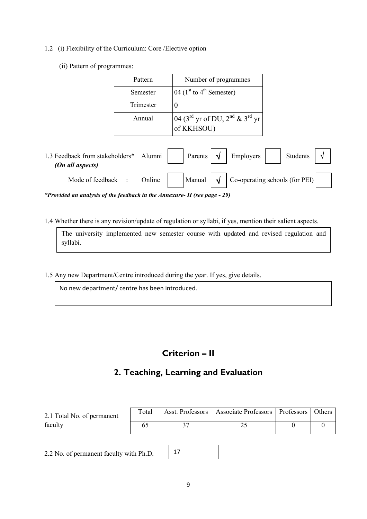### 1.2 (i) Flexibility of the Curriculum: Core /Elective option

(ii) Pattern of programmes:

| Pattern   | Number of programmes                                                             |
|-----------|----------------------------------------------------------------------------------|
| Semester  | 04 $(1st$ to 4 <sup>th</sup> Semester)                                           |
| Trimester |                                                                                  |
| Annual    | 04 (3 <sup>rd</sup> yr of DU, 2 <sup>nd</sup> & 3 <sup>rd</sup> yr<br>of KKHSOU) |

| 1.3 Feedback from stakeholders*<br>(On all aspects) | Alumni | Parents $\vert \sqrt{\ }$   | Employers                                     | Students |  |
|-----------------------------------------------------|--------|-----------------------------|-----------------------------------------------|----------|--|
| Mode of feedback                                    | Online | Manual $\vert \sqrt{\vert}$ | $\binom{1}{1}$ Co-operating schools (for PEI) |          |  |

\*Provided an analysis of the feedback in the Annexure- II (see page - 29)

1.4 Whether there is any revision/update of regulation or syllabi, if yes, mention their salient aspects.

The university implemented new semester course with updated and revised regulation and syllabi.

1.5 Any new Department/Centre introduced during the year. If yes, give details.

No new department/ centre has been introduced.

# Criterion – II

# 2. Teaching, Learning and Evaluation

| 2.1 Total No. of permanent | Total | Asst. Professors   Associate Professors   Professors   Others |  |
|----------------------------|-------|---------------------------------------------------------------|--|
| faculty                    |       |                                                               |  |
|                            |       |                                                               |  |

17

2.2 No. of permanent faculty with Ph.D.

| ۰.<br>۰, |         |  |
|----------|---------|--|
| . .      | I<br>ć  |  |
|          | ۰.<br>v |  |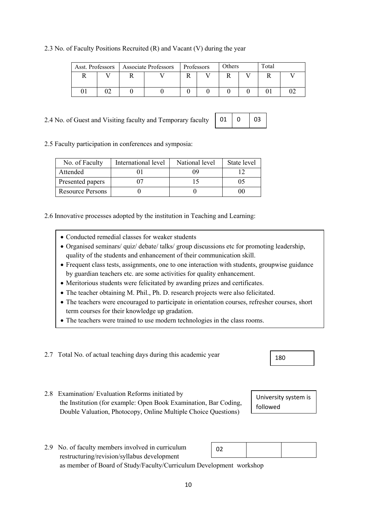the Institution (for example: Open Book Examination, Bar Coding,

| • Conducted remedial classes for weaker students            |
|-------------------------------------------------------------|
| $\bullet$ Organised seminars/ quiz/debate/talks/ group disc |

2.4 No. of Guest and Visiting faculty and Temporary faculty

2.5 Faculty participation in conferences and symposia:

Attended

- Organised seminars/ quiz/ debate/ talks/ group discussions etc for promoting leadership, quality of the students and enhancement of their communication skill.
- Frequent class tests, assignments, one to one interaction with students, groupwise guidance by guardian teachers etc. are some activities for quality enhancement.
- Meritorious students were felicitated by awarding prizes and certificates.
- 
- 
- 

2.7 Total No. of actual teaching days during this academic year

No. of Faculty International level National level State level

Presented papers 107 15 05

Resource Persons  $\begin{vmatrix} 0 & 0 & 0 \\ 0 & 0 & 0 \\ 0 & 0 & 0 \end{vmatrix}$ 

2.6 Innovative processes adopted by the institution in Teaching and Learning:

- 
- The teacher obtaining M. Phil., Ph. D. research projects were also felicitated.
- The teachers were encouraged to participate in orientation courses, refresher courses, short term courses for their knowledge up gradation.
- The teachers were trained to use modern technologies in the class rooms.

2.8 Examination/ Evaluation Reforms initiated by

10

|  |  |  |  |  |  |  | 2.3 No. of Faculty Positions Recruited (R) and Vacant (V) during the year |
|--|--|--|--|--|--|--|---------------------------------------------------------------------------|
|--|--|--|--|--|--|--|---------------------------------------------------------------------------|

|  | Asst. Professors   Associate Professors | Professors | Others | Total |  |
|--|-----------------------------------------|------------|--------|-------|--|
|  |                                         |            |        |       |  |
|  |                                         |            |        |       |  |

01 09 12

01

 $\Omega$ 

03

| א י |  |
|-----|--|
|     |  |

University system is followed

Double Valuation, Photocopy, Online Multiple Choice Questions)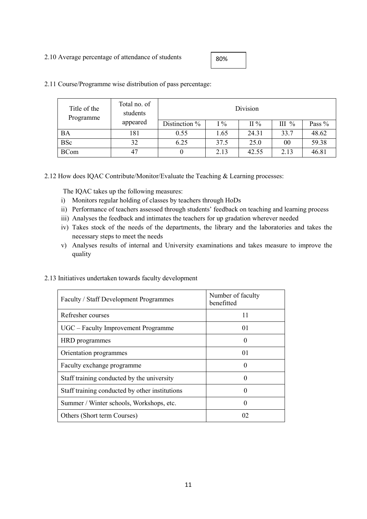### 2.10 Average percentage of attendance of students

80%

| Title of the<br>Programme | Total no. of<br>students |                 |       | Division |         |        |
|---------------------------|--------------------------|-----------------|-------|----------|---------|--------|
|                           | appeared                 | Distinction $%$ | $1\%$ | $II\%$   | $III\%$ | Pass % |
| <b>BA</b>                 | 181                      | 0.55            | 1.65  | 24.31    | 33.7    | 48.62  |
| <b>BSc</b>                | 32                       | 6.25            | 37.5  | 25.0     | 00      | 59.38  |
| <b>BCom</b>               | 47                       |                 | 2.13  | 42.55    | 2.13    | 46.81  |

2.11 Course/Programme wise distribution of pass percentage:

2.12 How does IQAC Contribute/Monitor/Evaluate the Teaching & Learning processes:

The IQAC takes up the following measures:

- i) Monitors regular holding of classes by teachers through HoDs
- ii) Performance of teachers assessed through students' feedback on teaching and learning process
- iii) Analyses the feedback and intimates the teachers for up gradation wherever needed
- iv) Takes stock of the needs of the departments, the library and the laboratories and takes the necessary steps to meet the needs
- v) Analyses results of internal and University examinations and takes measure to improve the quality

### 2.13 Initiatives undertaken towards faculty development

| Faculty / Staff Development Programmes         | Number of faculty<br>benefitted |
|------------------------------------------------|---------------------------------|
| Refresher courses                              | 11                              |
| UGC – Faculty Improvement Programme            | 01                              |
| HRD programmes                                 |                                 |
| Orientation programmes                         | 0 <sub>1</sub>                  |
| Faculty exchange programme                     |                                 |
| Staff training conducted by the university     | $\Omega$                        |
| Staff training conducted by other institutions | 0                               |
| Summer / Winter schools, Workshops, etc.       | 0                               |
| Others (Short term Courses)                    | 02                              |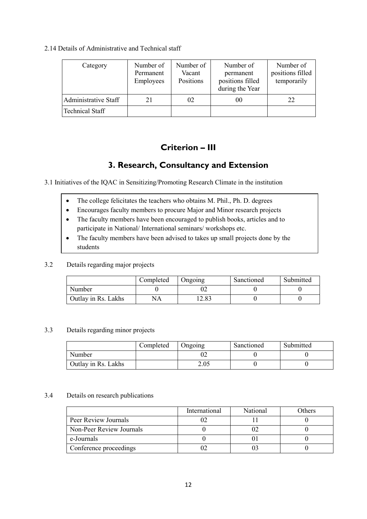### 2.14 Details of Administrative and Technical staff

| Category               | Number of<br>Permanent<br>Employees | Number of<br>Vacant<br>Positions | Number of<br>permanent<br>positions filled<br>during the Year | Number of<br>positions filled<br>temporarily |
|------------------------|-------------------------------------|----------------------------------|---------------------------------------------------------------|----------------------------------------------|
| Administrative Staff   | 21                                  | 02                               | 00                                                            | 22                                           |
| <b>Technical Staff</b> |                                     |                                  |                                                               |                                              |

# Criterion – III

# 3. Research, Consultancy and Extension

3.1 Initiatives of the IQAC in Sensitizing/Promoting Research Climate in the institution

- The college felicitates the teachers who obtains M. Phil., Ph. D. degrees
- Encourages faculty members to procure Major and Minor research projects
- The faculty members have been encouraged to publish books, articles and to participate in National/ International seminars/ workshops etc.
- The faculty members have been advised to takes up small projects done by the students

### 3.2 Details regarding major projects

|                     | Completed | Ongoing       | Sanctioned | Submitted |
|---------------------|-----------|---------------|------------|-----------|
| Number              |           |               |            |           |
| Outlay in Rs. Lakhs | NA        | . 0.1<br>ده.∠ |            |           |

### 3.3 Details regarding minor projects

|                     | Completed | <b>Jngoing</b> | Sanctioned | Submitted |
|---------------------|-----------|----------------|------------|-----------|
| Number              |           | 02             |            |           |
| Outlay in Rs. Lakhs |           | 2.05           |            |           |

### 3.4 Details on research publications

|                          | International | National | Others |
|--------------------------|---------------|----------|--------|
| Peer Review Journals     |               |          |        |
| Non-Peer Review Journals |               |          |        |
| e-Journals               |               |          |        |
| Conference proceedings   |               |          |        |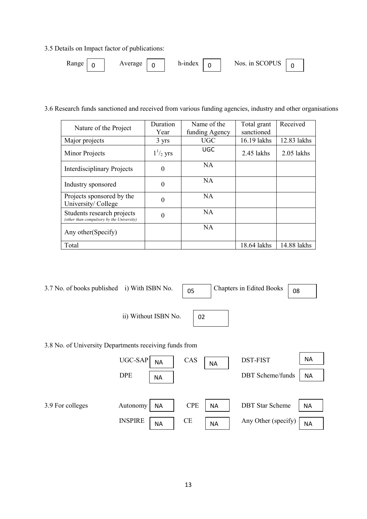3.5 Details on Impact factor of publications:



3.6 Research funds sanctioned and received from various funding agencies, industry and other organisations

| Nature of the Project                                                   | Duration<br>Year | Name of the<br>funding Agency | Total grant<br>sanctioned | Received     |
|-------------------------------------------------------------------------|------------------|-------------------------------|---------------------------|--------------|
| Major projects                                                          | 3 yrs            | <b>UGC</b>                    | 16.19 lakhs               | 12.83 lakhs  |
| Minor Projects                                                          | $1^{1/2}$ yrs    | UGC                           | $2.45$ lakhs              | $2.05$ lakhs |
| <b>Interdisciplinary Projects</b>                                       | $\theta$         | NA.                           |                           |              |
| Industry sponsored                                                      | $\theta$         | NA                            |                           |              |
| Projects sponsored by the<br>University/College                         | $\Omega$         | <b>NA</b>                     |                           |              |
| Students research projects<br>(other than compulsory by the University) | 0                | NA                            |                           |              |
| Any other (Specify)                                                     |                  | <b>NA</b>                     |                           |              |
| Total                                                                   |                  |                               | 18.64 lakhs               | 14.88 lakhs  |

3.7 No. of books published i) With ISBN No.  $\sqrt{0.05}$ 

Chapters in Edited Books  $\boxed{08}$ 

ii) Without ISBN No.



3.8 No. of University Departments receiving funds from

|                  | $UGC-SAP$<br><b>NA</b>      | CAS<br><b>NA</b>        | <b>DST-FIST</b>         | NA        |
|------------------|-----------------------------|-------------------------|-------------------------|-----------|
|                  | <b>DPE</b><br>ΝA            |                         | <b>DBT</b> Scheme/funds | ΝA        |
|                  |                             |                         |                         |           |
| 3.9 For colleges | <b>NA</b><br>Autonomy       | <b>CPE</b><br><b>NA</b> | <b>DBT</b> Star Scheme  | <b>NA</b> |
|                  | <b>INSPIRE</b><br><b>NA</b> | <b>CE</b><br><b>NA</b>  | Any Other (specify)     | <b>NA</b> |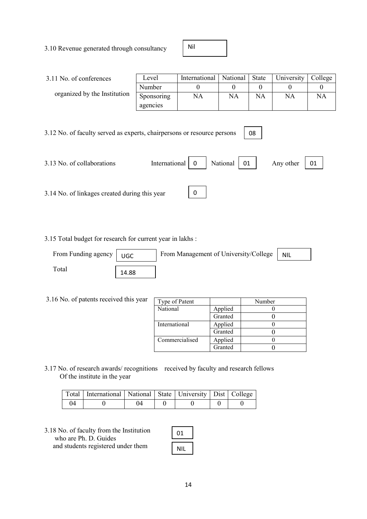3.10 Revenue generated through consultancy

Nil

| 3.11 No. of conferences                                                                                                                                                       | Level      | International | National  | State     | University | College   |
|-------------------------------------------------------------------------------------------------------------------------------------------------------------------------------|------------|---------------|-----------|-----------|------------|-----------|
|                                                                                                                                                                               | Number     | 0             | 0         | $\Omega$  | $\theta$   | $\theta$  |
| organized by the Institution                                                                                                                                                  | Sponsoring | <b>NA</b>     | <b>NA</b> | <b>NA</b> | <b>NA</b>  | <b>NA</b> |
|                                                                                                                                                                               | agencies   |               |           |           |            |           |
| 3.12 No. of faculty served as experts, chairpersons or resource persons<br>08<br>International<br>National<br>3.13 No. of collaborations<br>01<br>Any other<br>01<br>$\theta$ |            |               |           |           |            |           |
| 0<br>3.14 No. of linkages created during this year                                                                                                                            |            |               |           |           |            |           |

3.15 Total budget for research for current year in lakhs :

| From Funding agency | UGC   | From Management of University/College | <b>NIL</b> |
|---------------------|-------|---------------------------------------|------------|
| $\Gamma$ otal       | 14.88 |                                       |            |

| 3.16 No. of patents received this year | Type of Patent |         | Number |
|----------------------------------------|----------------|---------|--------|
|                                        | National       | Applied |        |
|                                        |                | Granted |        |
|                                        | International  | Applied |        |
|                                        |                | Granted |        |
|                                        | Commercialised | Applied |        |
|                                        |                | Granted |        |

3.17 No. of research awards/ recognitions received by faculty and research fellows Of the institute in the year

|    | Total   International   National   State   University   Dist   College |    |  |  |
|----|------------------------------------------------------------------------|----|--|--|
| 04 |                                                                        | 04 |  |  |

3.18 No. of faculty from the Institution who are Ph. D. Guides and students registered under them

| 01  |
|-----|
| NIL |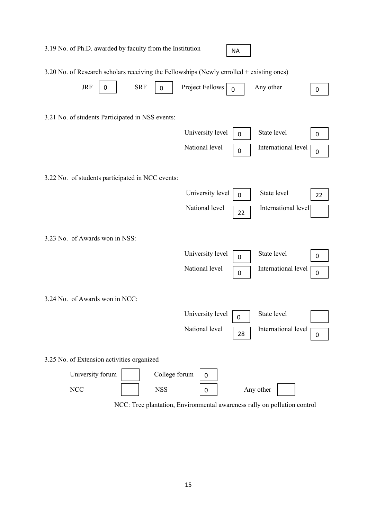| 3.19 No. of Ph.D. awarded by faculty from the Institution                                |                                |                  |                                    | <b>NA</b>             |                                    |        |
|------------------------------------------------------------------------------------------|--------------------------------|------------------|------------------------------------|-----------------------|------------------------------------|--------|
| 3.20 No. of Research scholars receiving the Fellowships (Newly enrolled + existing ones) |                                |                  |                                    |                       |                                    |        |
| <b>JRF</b>                                                                               | <b>SRF</b><br>$\boldsymbol{0}$ | $\boldsymbol{0}$ | Project Fellows                    | $\overline{0}$        | Any other                          | 0      |
| 3.21 No. of students Participated in NSS events:                                         |                                |                  | University level<br>National level | 0<br>$\boldsymbol{0}$ | State level<br>International level | 0<br>0 |
| 3.22 No. of students participated in NCC events:                                         |                                |                  |                                    |                       |                                    |        |
|                                                                                          |                                |                  | University level                   | $\overline{0}$        | State level                        | 22     |
|                                                                                          |                                |                  | National level                     | 22                    | International level                |        |
| 3.23 No. of Awards won in NSS:                                                           |                                |                  | University level                   |                       | State level                        | 0      |
|                                                                                          |                                |                  | National level                     | 0<br>$\boldsymbol{0}$ | International level                | 0      |
| 3.24 No. of Awards won in NCC:                                                           |                                |                  |                                    |                       |                                    |        |
|                                                                                          |                                |                  | University level                   | 0                     | State level                        |        |
|                                                                                          |                                |                  | National level                     | 28                    | International level                | 0      |
| 3.25 No. of Extension activities organized                                               |                                |                  |                                    |                       |                                    |        |
| University forum                                                                         |                                | College forum    | $\mathbf 0$                        |                       |                                    |        |
| <b>NCC</b>                                                                               |                                | <b>NSS</b>       | 0                                  |                       | Any other                          |        |

NCC: Tree plantation, Environmental awareness rally on pollution control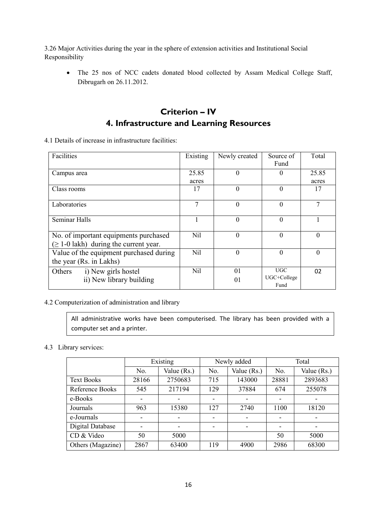3.26 Major Activities during the year in the sphere of extension activities and Institutional Social Responsibility

• The 25 nos of NCC cadets donated blood collected by Assam Medical College Staff, Dibrugarh on 26.11.2012.

# Criterion – IV 4. Infrastructure and Learning Resources

4.1 Details of increase in infrastructure facilities:

| Facilities                                                                           | Existing       | Newly created | Source of<br>Fund          | Total          |
|--------------------------------------------------------------------------------------|----------------|---------------|----------------------------|----------------|
| Campus area                                                                          | 25.85<br>acres | $\theta$      | $\theta$                   | 25.85<br>acres |
| Class rooms                                                                          | 17             | $\theta$      | $\theta$                   | 17             |
| Laboratories                                                                         | 7              | $\theta$      | $\theta$                   | 7              |
| Seminar Halls                                                                        |                | $\theta$      | $\overline{0}$             |                |
| No. of important equipments purchased<br>$(\geq 1-0)$ lakh) during the current year. | Nil            | $\theta$      | $\theta$                   | $\Omega$       |
| Value of the equipment purchased during<br>the year (Rs. in Lakhs)                   | Nil            | $\theta$      | $\theta$                   | $\Omega$       |
| i) New girls hostel<br>Others<br>ii) New library building                            | Nil            | 01<br>01      | UGC<br>UGC+College<br>Fund | 02             |

### 4.2 Computerization of administration and library

All administrative works have been computerised. The library has been provided with a computer set and a printer.

### 4.3 Library services:

|                   | Existing |             |     | Newly added |                          | Total         |  |
|-------------------|----------|-------------|-----|-------------|--------------------------|---------------|--|
|                   | No.      | Value (Rs.) | No. | Value (Rs.) | No.                      | Value $(Rs.)$ |  |
| <b>Text Books</b> | 28166    | 2750683     | 715 | 143000      | 28881                    | 2893683       |  |
| Reference Books   | 545      | 217194      | 129 | 37884       | 674                      | 255078        |  |
| e-Books           | ۰        |             |     |             | ٠                        |               |  |
| Journals          | 963      | 15380       | 127 | 2740        | 1100                     | 18120         |  |
| e-Journals        | -        |             |     |             | $\overline{\phantom{0}}$ |               |  |
| Digital Database  | -        |             |     |             | $\overline{\phantom{0}}$ | -             |  |
| CD & Video        | 50       | 5000        |     |             | 50                       | 5000          |  |
| Others (Magazine) | 2867     | 63400       | 119 | 4900        | 2986                     | 68300         |  |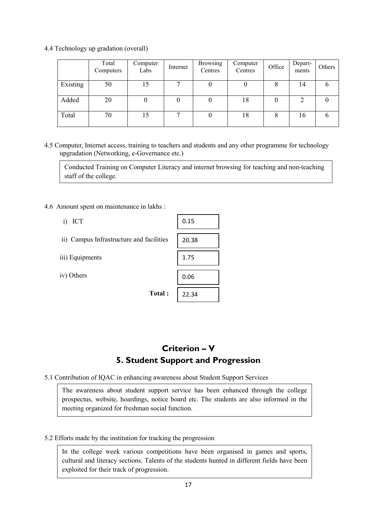4.4 Technology up gradation (overall)

|          | Total<br>Computers | Computer<br>Labs | Internet | <b>Browsing</b><br>Centres | Computer<br>Centres | Office | Depart-<br>ments | Others |
|----------|--------------------|------------------|----------|----------------------------|---------------------|--------|------------------|--------|
| Existing | 50                 | 15               |          |                            |                     | 8      | 14               | O      |
| Added    | 20                 |                  |          |                            | 18                  | 0      | ∍                |        |
| Total    | 70                 | 15               | ⇁        |                            | 18                  | 8      | 16               |        |

4.5 Computer, Internet access, training to teachers and students and any other programme for technology upgradation (Networking, e-Governance etc.)

Conducted Training on Computer Literacy and internet browsing for teaching and non-teaching staff of the college.

- 4.6 Amount spent on maintenance in lakhs :
	- i) ICT

- iii) Equipments
- iv) Others

| akns .    |       |
|-----------|-------|
|           | 0.15  |
| icilities | 20.38 |
|           | 1.75  |
|           | 0.06  |
| Total:    | 22.34 |

# Criterion – V 5. Student Support and Progression

5.1 Contribution of IQAC in enhancing awareness about Student Support Services

The awareness about student support service has been enhanced through the college prospectus, website, hoardings, notice board etc. The students are also informed in the meeting organized for freshman social function.

### 5.2 Efforts made by the institution for tracking the progression

In the college week various competitions have been organised in games and sports, cultural and literacy sections. Talents of the students hunted in different fields have been exploited for their track of progression.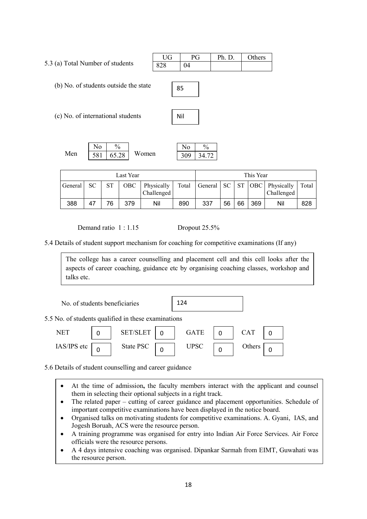5.3 (a) Total Number of students UG PG Ph. D. Others  $828$ 

(b) No. of students outside the state

(c) No. of international students



85

|     |     | 0/<br>70 |       | . .<br>O | ′0 |
|-----|-----|----------|-------|----------|----|
| Men | 581 | 65.28    | Women | 300      | 72 |

| Last Year      |    |    |       | This Year                |       |     |    |    |     |                                                    |       |
|----------------|----|----|-------|--------------------------|-------|-----|----|----|-----|----------------------------------------------------|-------|
| <b>General</b> | SС | ST | OBC - | Physically<br>Challenged | Total |     |    |    |     | General   SC   ST   OBC   Physically<br>Challenged | Total |
| 388            | 47 | 76 | 379   | Nil                      | 890   | 337 | 56 | 66 | 369 | Nil                                                | 828   |

Demand ratio 1 : 1.15 Dropout 25.5%

5.4 Details of student support mechanism for coaching for competitive examinations (If any)

The college has a career counselling and placement cell and this cell looks after the aspects of career coaching, guidance etc by organising coaching classes, workshop and talks etc.

| No. of students beneficiaries                       |   |                 |  | 124         |  |            |  |
|-----------------------------------------------------|---|-----------------|--|-------------|--|------------|--|
| 5.5 No. of students qualified in these examinations |   |                 |  |             |  |            |  |
| <b>NET</b>                                          | 0 | <b>SET/SLET</b> |  | <b>GATE</b> |  | <b>CAT</b> |  |
| IAS/IPS etc                                         |   | State PSC       |  | <b>UPSC</b> |  | Others     |  |

5.6 Details of student counselling and career guidance

- At the time of admission, the faculty members interact with the applicant and counsel them in selecting their optional subjects in a right track.
- The related paper cutting of career guidance and placement opportunities. Schedule of important competitive examinations have been displayed in the notice board.
- Organised talks on motivating students for competitive examinations. A. Gyani, IAS, and Jogesh Boruah, ACS were the resource person.
- A training programme was organised for entry into Indian Air Force Services. Air Force officials were the resource persons.
- A 4 days intensive coaching was organised. Dipankar Sarmah from EIMT, Guwahati was the resource person.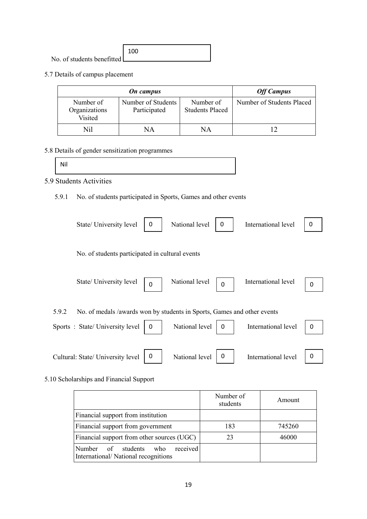|                            | 100 |
|----------------------------|-----|
| No. of students benefitted |     |

5.7 Details of campus placement

|                                       | <b>Off Campus</b>                  |                                     |                           |
|---------------------------------------|------------------------------------|-------------------------------------|---------------------------|
| Number of<br>Organizations<br>Visited | Number of Students<br>Participated | Number of<br><b>Students Placed</b> | Number of Students Placed |
| Nil                                   | NΑ                                 | NΑ                                  |                           |

# 5.8 Details of gender sensitization programmes

| Nil |  |  |  |
|-----|--|--|--|
|     |  |  |  |

# 5.9 Students Activities

5.9.1 No. of students participated in Sports, Games and other events

|       | State/ University level                                                 | 0        | National level | 0        | International level | 0 |
|-------|-------------------------------------------------------------------------|----------|----------------|----------|---------------------|---|
|       | No. of students participated in cultural events                         |          |                |          |                     |   |
|       | State/ University level                                                 | $\Omega$ | National level | $\Omega$ | International level | 0 |
| 5.9.2 | No. of medals /awards won by students in Sports, Games and other events |          |                |          |                     |   |
|       | Sports: State/University level                                          | 0        | National level | 0        | International level | 0 |
|       | Cultural: State/ University level                                       | 0        | National level | 0        | International level | 0 |

### 5.10 Scholarships and Financial Support

|                                                                                         | Number of<br>students | Amount |
|-----------------------------------------------------------------------------------------|-----------------------|--------|
| Financial support from institution                                                      |                       |        |
| Financial support from government                                                       | 183                   | 745260 |
| Financial support from other sources (UGC)                                              | 23                    | 46000  |
| received<br><b>Number</b><br>of students<br>who.<br>International/National recognitions |                       |        |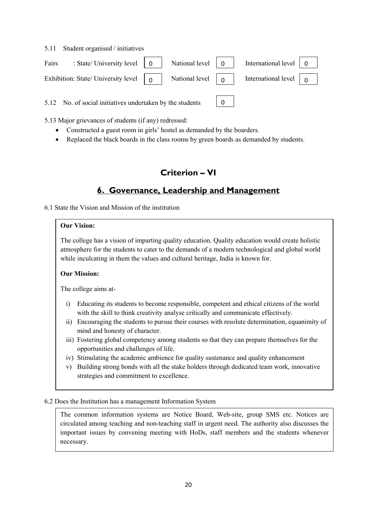5.11 Student organised / initiatives

| Fairs : State/University level $\begin{vmatrix} 0 \\ 1 \end{vmatrix}$ National level $\begin{vmatrix} 0 \\ 0 \end{vmatrix}$ International level $\begin{vmatrix} 0 \\ 1 \end{vmatrix}$      |  |  |  |
|---------------------------------------------------------------------------------------------------------------------------------------------------------------------------------------------|--|--|--|
| Exhibition: State/ University level $\begin{bmatrix} 0 \\ 1 \end{bmatrix}$ National level $\begin{bmatrix} 0 \\ 0 \end{bmatrix}$ International level $\begin{bmatrix} 0 \\ 1 \end{bmatrix}$ |  |  |  |

 $\Omega$ 

5.12 No. of social initiatives undertaken by the students

5.13 Major grievances of students (if any) redressed:

- Constructed a guest room in girls' hostel as demanded by the boarders.
- Replaced the black boards in the class rooms by green boards as demanded by students.

# Criterion – VI

# 6. Governance, Leadership and Management

6.1 State the Vision and Mission of the institution

### Our Vision:

The college has a vision of imparting quality education. Quality education would create holistic atmosphere for the students to cater to the demands of a modern technological and global world while inculcating in them the values and cultural heritage, India is known for.

### Our Mission:

The college aims at-

- i) Educating its students to become responsible, competent and ethical citizens of the world with the skill to think creativity analyse critically and communicate effectively.
- ii) Encouraging the students to pursue their courses with resolute determination, equanimity of mind and honesty of character.
- iii) Fostering global competency among students so that they can prepare themselves for the opportunities and challenges of life.
- iv) Stimulating the academic ambience for quality sustenance and quality enhancement
- v) Building strong bonds with all the stake holders through dedicated team work, innovative strategies and commitment to excellence.

### 6.2 Does the Institution has a management Information System

The common information systems are Notice Board, Web-site, group SMS etc. Notices are circulated among teaching and non-teaching staff in urgent need. The authority also discusses the important issues by convening meeting with HoDs, staff members and the students whenever necessary.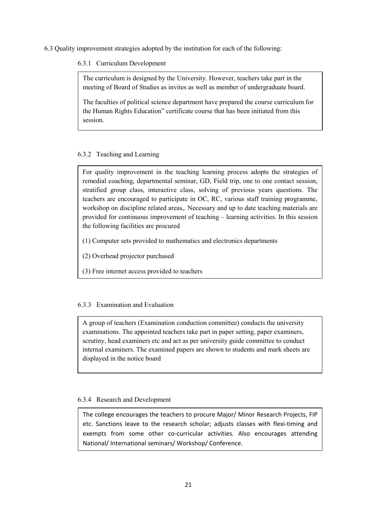6.3 Quality improvement strategies adopted by the institution for each of the following:

### 6.3.1 Curriculum Development

The curriculum is designed by the University. However, teachers take part in the meeting of Board of Studies as invites as well as member of undergraduate board.

The faculties of political science department have prepared the course curriculum for the Human Rights Education" certificate course that has been initiated from this session.

### 6.3.2 Teaching and Learning

For quality improvement in the teaching learning process adopts the strategies of remedial coaching, departmental seminar, GD, Field trip, one to one contact session, stratified group class, interactive class, solving of previous years questions. The teachers are encouraged to participate in OC, RC, various staff training programme, workshop on discipline related areas,. Necessary and up to date teaching materials are provided for continuous improvement of teaching – learning activities. In this session the following facilities are procured

- (1) Computer sets provided to mathematics and electronics departments
- (2) Overhead projector purchased
- (3) Free internet access provided to teachers

### 6.3.3 Examination and Evaluation

A group of teachers (Examination conduction committee) conducts the university examinations. The appointed teachers take part in paper setting, paper examiners, scrutiny, head examiners etc and act as per university guide committee to conduct internal examiners. The examined papers are shown to students and mark sheets are displayed in the notice board

### 6.3.4 Research and Development

The college encourages the teachers to procure Major/ Minor Research Projects, FIP etc. Sanctions leave to the research scholar; adjusts classes with flexi-timing and exempts from some other co-curricular activities. Also encourages attending National/ International seminars/ Workshop/ Conference.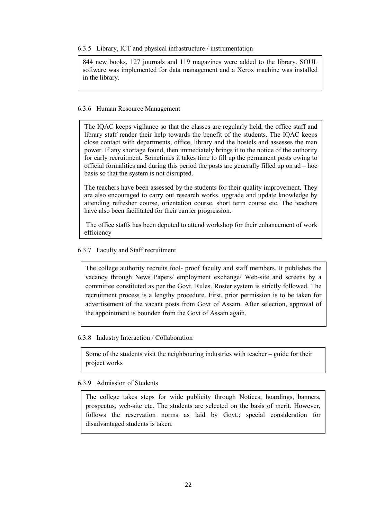6.3.5 Library, ICT and physical infrastructure / instrumentation

844 new books, 127 journals and 119 magazines were added to the library. SOUL software was implemented for data management and a Xerox machine was installed in the library.

### 6.3.6 Human Resource Management

The IQAC keeps vigilance so that the classes are regularly held, the office staff and library staff render their help towards the benefit of the students. The IQAC keeps close contact with departments, office, library and the hostels and assesses the man power. If any shortage found, then immediately brings it to the notice of the authority for early recruitment. Sometimes it takes time to fill up the permanent posts owing to official formalities and during this period the posts are generally filled up on ad – hoc basis so that the system is not disrupted.

The teachers have been assessed by the students for their quality improvement. They are also encouraged to carry out research works, upgrade and update knowledge by attending refresher course, orientation course, short term course etc. The teachers have also been facilitated for their carrier progression.

 The office staffs has been deputed to attend workshop for their enhancement of work efficiency

### 6.3.7 Faculty and Staff recruitment

The college authority recruits fool- proof faculty and staff members. It publishes the vacancy through News Papers/ employment exchange/ Web-site and screens by a committee constituted as per the Govt. Rules. Roster system is strictly followed. The recruitment process is a lengthy procedure. First, prior permission is to be taken for advertisement of the vacant posts from Govt of Assam. After selection, approval of the appointment is bounden from the Govt of Assam again.

### 6.3.8 Industry Interaction / Collaboration

Some of the students visit the neighbouring industries with teacher – guide for their project works

### 6.3.9 Admission of Students

The college takes steps for wide publicity through Notices, hoardings, banners, prospectus, web-site etc. The students are selected on the basis of merit. However, follows the reservation norms as laid by Govt.; special consideration for disadvantaged students is taken.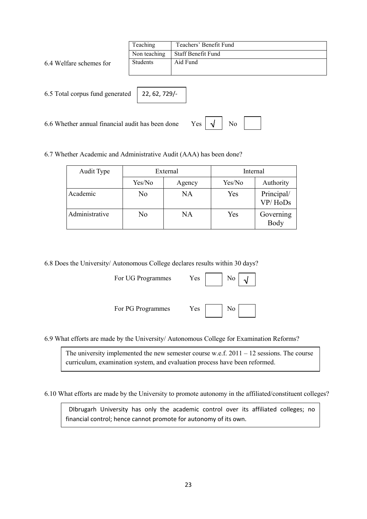|                                 | Teaching      | Teachers' Benefit Fund |
|---------------------------------|---------------|------------------------|
|                                 | Non teaching  | Staff Benefit Fund     |
| 6.4 Welfare schemes for         | Students      | Aid Fund               |
|                                 |               |                        |
|                                 |               |                        |
| 6.5 Total corpus fund generated | 22, 62, 729/- |                        |
|                                 |               |                        |

6.6 Whether annual financial audit has been done

# $Yes \n\begin{array}{|c|c|c|c|c|} \n\hline\n\downarrow & \text{No} & \n\hline\n\end{array}$

6.7 Whether Academic and Administrative Audit (AAA) has been done?

| Audit Type     |        | External | Internal |                       |  |
|----------------|--------|----------|----------|-----------------------|--|
|                | Yes/No | Agency   | Yes/No   | Authority             |  |
| Academic       | No     | NA       | Yes      | Principal/<br>VP/HoDs |  |
| Administrative | No     | NA       | Yes      | Governing<br>Body     |  |

6.8 Does the University/ Autonomous College declares results within 30 days?

| For UG Programmes | Yes | $\overline{\phantom{a}}$ No |
|-------------------|-----|-----------------------------|
|                   |     |                             |

| es | No |  |
|----|----|--|
|    |    |  |

For PG Programmes Yes | No



6.9 What efforts are made by the University/ Autonomous College for Examination Reforms?

The university implemented the new semester course w.e.f. 2011 – 12 sessions. The course curriculum, examination system, and evaluation process have been reformed.

6.10 What efforts are made by the University to promote autonomy in the affiliated/constituent colleges?

 DIbrugarh University has only the academic control over its affiliated colleges; no financial control; hence cannot promote for autonomy of its own.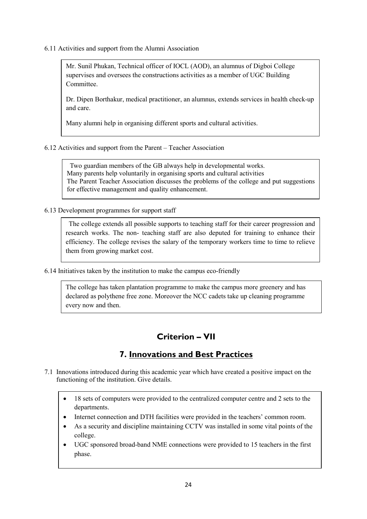6.11 Activities and support from the Alumni Association

Mr. Sunil Phukan, Technical officer of IOCL (AOD), an alumnus of Digboi College supervises and oversees the constructions activities as a member of UGC Building Committee.

Dr. Dipen Borthakur, medical practitioner, an alumnus, extends services in health check-up and care.

Many alumni help in organising different sports and cultural activities.

6.12 Activities and support from the Parent – Teacher Association

 Two guardian members of the GB always help in developmental works. Many parents help voluntarily in organising sports and cultural activities The Parent Teacher Association discusses the problems of the college and put suggestions for effective management and quality enhancement.

6.13 Development programmes for support staff

 The college extends all possible supports to teaching staff for their career progression and research works. The non- teaching staff are also deputed for training to enhance their efficiency. The college revises the salary of the temporary workers time to time to relieve them from growing market cost.

6.14 Initiatives taken by the institution to make the campus eco-friendly

The college has taken plantation programme to make the campus more greenery and has declared as polythene free zone. Moreover the NCC cadets take up cleaning programme every now and then.

# Criterion – VII

# 7. Innovations and Best Practices

- 7.1 Innovations introduced during this academic year which have created a positive impact on the functioning of the institution. Give details.
	- 18 sets of computers were provided to the centralized computer centre and 2 sets to the departments.
	- Internet connection and DTH facilities were provided in the teachers' common room.
	- As a security and discipline maintaining CCTV was installed in some vital points of the college.
	- UGC sponsored broad-band NME connections were provided to 15 teachers in the first phase.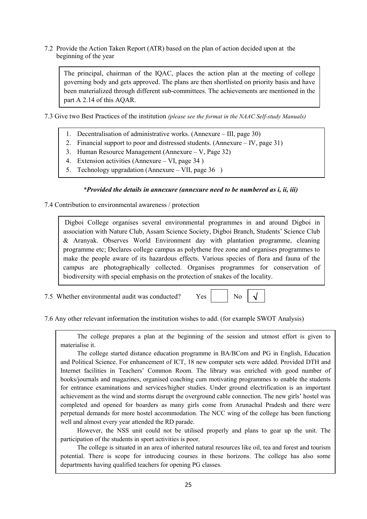7.2 Provide the Action Taken Report (ATR) based on the plan of action decided upon at the beginning of the year

The principal, chairman of the IQAC, places the action plan at the meeting of college governing body and gets approved. The plans are then shortlisted on priority basis and have been materialized through different sub-committees. The achievements are mentioned in the part A 2.14 of this AQAR.

- 7.3 Give two Best Practices of the institution (please see the format in the NAAC Self-study Manuals)
	- 1. Decentralisation of administrative works. (Annexure III, page 30)
	- 2. Financial support to poor and distressed students. (Annexure IV, page 31)
	- 3. Human Resource Management (Annexure V, Page 32)
	- 4. Extension activities (Annexure VI, page 34 )
	- 5. Technology upgradation (Annexure VII, page 36 )

### \*Provided the details in annexure (annexure need to be numbered as i, ii, iii)

7.4 Contribution to environmental awareness / protection

Digboi College organises several environmental programmes in and around Digboi in association with Nature Club, Assam Science Society, Digboi Branch, Students' Science Club & Aranyak. Observes World Environment day with plantation programme, cleaning programme etc; Declares college campus as polythene free zone and organises programmes to make the people aware of its hazardous effects. Various species of flora and fauna of the campus are photographically collected. Organises programmes for conservation of biodiversity with special emphasis on the protection of snakes of the locality.

7.5 Whether environmental audit was conducted?  $Yes$   $\parallel$  No



7.6 Any other relevant information the institution wishes to add. (for example SWOT Analysis)

The college prepares a plan at the beginning of the session and utmost effort is given to materialise it.

The college started distance education programme in BA/BCom and PG in English, Education and Political Science. For enhancement of ICT, 18 new computer sets were added. Provided DTH and Internet facilities in Teachers' Common Room. The library was enriched with good number of books/journals and magazines, organised coaching cum motivating programmes to enable the students for entrance examinations and services/higher studies. Under ground electrification is an important achievement as the wind and storms disrupt the overground cable connection. The new girls' hostel was completed and opened for boarders as many girls come from Arunachal Pradesh and there were perpetual demands for more hostel accommodation. The NCC wing of the college has been functiong well and almost every year attended the RD parade.

However, the NSS unit could not be utilised properly and plans to gear up the unit. The participation of the students in sport activities is poor.

The college is situated in an area of inherited natural resources like oil, tea and forest and tourism potential. There is scope for introducing courses in these horizons. The college has also some departments having qualified teachers for opening PG classes.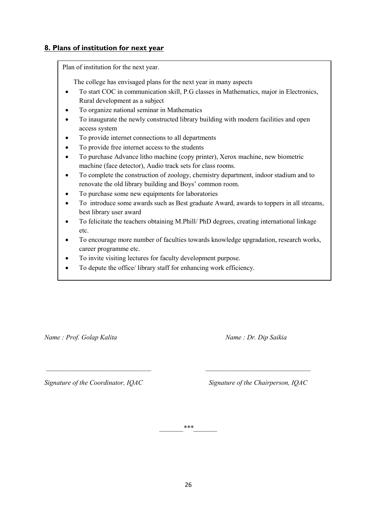### 8. Plans of institution for next year

Plan of institution for the next year.

The college has envisaged plans for the next year in many aspects

- To start COC in communication skill, P.G classes in Mathematics, major in Electronics, Rural development as a subject
- To organize national seminar in Mathematics
- To inaugurate the newly constructed library building with modern facilities and open access system
- To provide internet connections to all departments
- To provide free internet access to the students
- To purchase Advance litho machine (copy printer), Xerox machine, new biometric machine (face detector), Audio track sets for class rooms.
- To complete the construction of zoology, chemistry department, indoor stadium and to renovate the old library building and Boys' common room.
- To purchase some new equipments for laboratories
- To introduce some awards such as Best graduate Award, awards to toppers in all streams, best library user award
- To felicitate the teachers obtaining M.Phill/ PhD degrees, creating international linkage etc.
- To encourage more number of faculties towards knowledge upgradation, research works, career programme etc.
- To invite visiting lectures for faculty development purpose.
- To depute the office/ library staff for enhancing work efficiency.

Name : Prof. Golap Kalita Name : Dr. Dip Saikia

Signature of the Coordinator, IQAC Signature of the Chairperson, IQAC

 $***$ 

\_\_\_\_\_\_\_\_\_\_\_\_\_\_\_\_\_\_\_\_\_\_\_\_\_\_\_\_\_\_\_ \_\_\_\_\_\_\_\_\_\_\_\_\_\_\_\_\_\_\_\_\_\_\_\_\_\_\_\_\_\_\_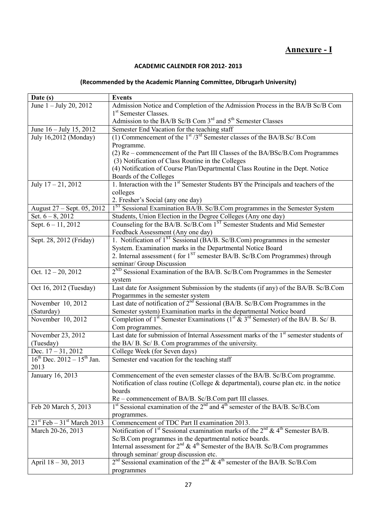# Annexure - I

### ACADEMIC CALENDER FOR 2012- 2013

### (Recommended by the Academic Planning Committee, DIbrugarh University)

| Date (s)                                 | <b>Events</b>                                                                                                            |  |
|------------------------------------------|--------------------------------------------------------------------------------------------------------------------------|--|
| June $1 -$ July 20, 2012                 | Admission Notice and Completion of the Admission Process in the BA/B Sc/B Com                                            |  |
|                                          | 1 <sup>st</sup> Semester Classes.                                                                                        |  |
|                                          | Admission to the BA/B Sc/B Com 3 <sup>rd</sup> and 5 <sup>th</sup> Semester Classes                                      |  |
| June 16 – July 15, 2012                  | Semester End Vacation for the teaching staff                                                                             |  |
| July 16,2012 (Monday)                    | (1) Commencement of the $1st / 3rd$ Semester classes of the BA/B.Sc/ B.Com                                               |  |
|                                          | Programme.                                                                                                               |  |
|                                          | (2) Re – commencement of the Part III Classes of the BA/BSc/B.Com Programmes                                             |  |
|                                          | (3) Notification of Class Routine in the Colleges                                                                        |  |
|                                          | (4) Notification of Course Plan/Departmental Class Routine in the Dept. Notice                                           |  |
|                                          | Boards of the Colleges                                                                                                   |  |
| July $17 - 21$ , 2012                    | 1. Interaction with the 1 <sup>st</sup> Semester Students BY the Principals and teachers of the                          |  |
|                                          | colleges                                                                                                                 |  |
|                                          | 2. Fresher's Social (any one day)                                                                                        |  |
| August 27 – Sept. 05, 2012               | 1 <sup>ST</sup> Sessional Examination BA/B. Sc/B.Com programmes in the Semester System                                   |  |
| Set. $6 - 8$ , 2012                      | Students, Union Election in the Degree Colleges (Any one day)                                                            |  |
| Sept. $6 - 11$ , 2012                    | Counseling for the BA/B. Sc/B.Com 1 <sup>ST</sup> Semester Students and Mid Semester                                     |  |
|                                          | Feedback Assessment (Any one day)                                                                                        |  |
| Sept. 28, 2012 (Friday)                  | 1. Notification of 1 <sup>ST</sup> Sessional (BA/B. Sc/B.Com) programmes in the semester                                 |  |
|                                          | System. Examination marks in the Departmental Notice Board                                                               |  |
|                                          | 2. Internal assessment (for 1 <sup>ST</sup> semester BA/B. Sc/B.Com Programmes) through                                  |  |
|                                          | seminar/ Group Discussion                                                                                                |  |
| Oct. $12 - 20$ , $2012$                  | $2^{ND}$ Sessional Examination of the BA/B. Sc/B.Com Programmes in the Semester                                          |  |
|                                          | system                                                                                                                   |  |
| Oct 16, 2012 (Tuesday)                   | Last date for Assignment Submission by the students (if any) of the BA/B. Sc/B.Com                                       |  |
|                                          | Progarmmes in the semester system                                                                                        |  |
| November $10, 2012$                      | Last date of notification of $2^{nd}$ Sessional (BA/B. Sc/B.Com Programmes in the                                        |  |
| (Saturday)                               | Semester system) Examination marks in the departmental Notice board                                                      |  |
| November $10, 2012$                      | Completion of 1 <sup>st</sup> Semester Examinations (1 <sup>st</sup> $\&$ 3 <sup>rd</sup> Semester) of the BA/ B. Sc/ B. |  |
|                                          | Com programmes.                                                                                                          |  |
| November 23, 2012                        | Last date for submission of Internal Assessment marks of the 1 <sup>st</sup> semester students of                        |  |
| (Tuesday)                                | the BA/ B. Sc/ B. Com programmes of the university.                                                                      |  |
| Dec. $17 - 31, 2012$                     | College Week (for Seven days)                                                                                            |  |
| $16^{th}$ Dec. $2012 - 15^{th}$ Jan.     | Semester end vacation for the teaching staff                                                                             |  |
| 2013                                     |                                                                                                                          |  |
| January 16, 2013                         | Commencement of the even semester classes of the BA/B. Sc/B.Com programme.                                               |  |
|                                          | Notification of class routine (College & departmental), course plan etc. in the notice                                   |  |
|                                          | boards                                                                                                                   |  |
|                                          | Re – commencement of BA/B. Sc/B.Com part III classes.                                                                    |  |
| Feb 20 March 5, 2013                     | 1 <sup>st</sup> Sessional examination of the 2 <sup>nd</sup> and 4 <sup>th</sup> semester of the BA/B. Sc/B.Com          |  |
|                                          | programmes.                                                                                                              |  |
| $21st$ Feb – 31 <sup>st</sup> March 2013 | Commencement of TDC Part II examination 2013.                                                                            |  |
| March 20-26, 2013                        | Notification of 1 <sup>st</sup> Sessional examination marks of the $2^{nd}$ & 4 <sup>th</sup> Semester BA/B.             |  |
|                                          | Sc/B.Com programmes in the departmental notice boards.                                                                   |  |
|                                          | Internal assessment for $2^{nd}$ & 4 <sup>th</sup> Semester of the BA/B. Sc/B.Com programmes                             |  |
|                                          | through seminar/ group discussion etc.                                                                                   |  |
| April 18 - 30, 2013                      | $2nd$ Sessional examination of the $2nd$ & 4 <sup>th</sup> semester of the BA/B. Sc/B.Com                                |  |
|                                          | programmes                                                                                                               |  |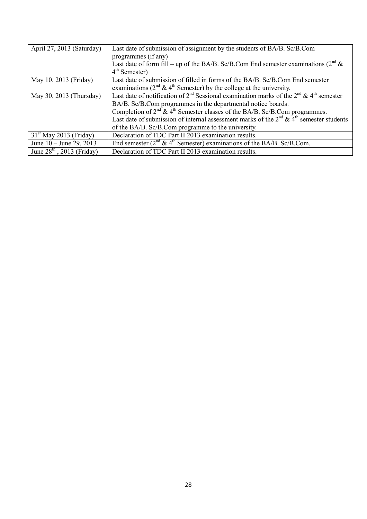| April 27, 2013 (Saturday)   | Last date of submission of assignment by the students of BA/B. Sc/B.Com                                                    |  |
|-----------------------------|----------------------------------------------------------------------------------------------------------------------------|--|
|                             | programmes (if any)                                                                                                        |  |
|                             | Last date of form fill – up of the BA/B. Sc/B.Com End semester examinations ( $2nd$ &                                      |  |
|                             | $4th$ Semester)                                                                                                            |  |
| May 10, 2013 (Friday)       | Last date of submission of filled in forms of the BA/B. Sc/B.Com End semester                                              |  |
|                             | examinations ( $2^{nd}$ & 4 <sup>th</sup> Semester) by the college at the university.                                      |  |
| May 30, 2013 (Thursday)     | Last date of notification of 2 <sup>nd</sup> Sessional examination marks of the 2 <sup>nd</sup> & 4 <sup>th</sup> semester |  |
|                             | BA/B. Sc/B.Com programmes in the departmental notice boards.                                                               |  |
|                             | Completion of $2nd$ & $4th$ Semester classes of the BA/B. Sc/B.Com programmes.                                             |  |
|                             | Last date of submission of internal assessment marks of the $2^{nd} \& 4^{th}$ semester students                           |  |
|                             | of the BA/B. Sc/B.Com programme to the university.                                                                         |  |
| $31st$ May 2013 (Friday)    | Declaration of TDC Part II 2013 examination results.                                                                       |  |
| June $10 -$ June 29, 2013   | End semester ( $2nd \& 4th$ Semester) examinations of the BA/B. Sc/B.Com.                                                  |  |
| June $28th$ , 2013 (Friday) | Declaration of TDC Part II 2013 examination results.                                                                       |  |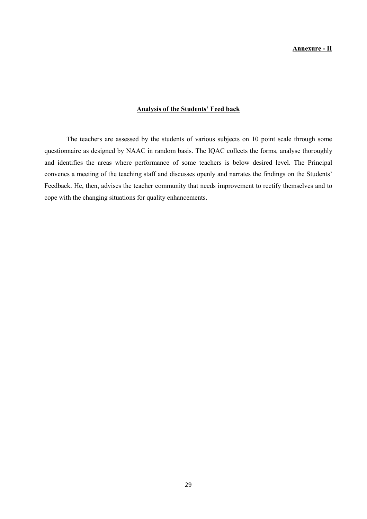#### Annexure - II

#### Analysis of the Students' Feed back

The teachers are assessed by the students of various subjects on 10 point scale through some questionnaire as designed by NAAC in random basis. The IQAC collects the forms, analyse thoroughly and identifies the areas where performance of some teachers is below desired level. The Principal convencs a meeting of the teaching staff and discusses openly and narrates the findings on the Students' Feedback. He, then, advises the teacher community that needs improvement to rectify themselves and to cope with the changing situations for quality enhancements.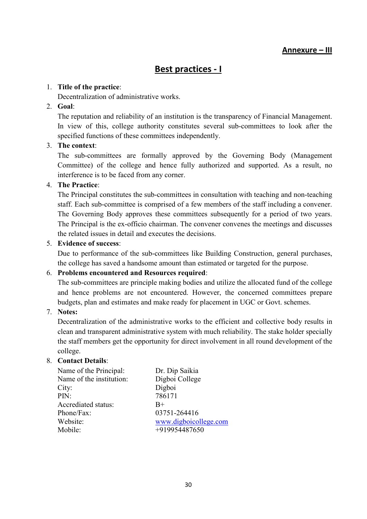# Best practices - I

### 1. Title of the practice:

Decentralization of administrative works.

### 2. Goal:

The reputation and reliability of an institution is the transparency of Financial Management. In view of this, college authority constitutes several sub-committees to look after the specified functions of these committees independently.

### 3. The context:

The sub-committees are formally approved by the Governing Body (Management Committee) of the college and hence fully authorized and supported. As a result, no interference is to be faced from any corner.

### 4. The Practice:

The Principal constitutes the sub-committees in consultation with teaching and non-teaching staff. Each sub-committee is comprised of a few members of the staff including a convener. The Governing Body approves these committees subsequently for a period of two years. The Principal is the ex-officio chairman. The convener convenes the meetings and discusses the related issues in detail and executes the decisions.

### 5. Evidence of success:

Due to performance of the sub-committees like Building Construction, general purchases, the college has saved a handsome amount than estimated or targeted for the purpose.

### 6. Problems encountered and Resources required:

The sub-committees are principle making bodies and utilize the allocated fund of the college and hence problems are not encountered. However, the concerned committees prepare budgets, plan and estimates and make ready for placement in UGC or Govt. schemes.

### 7. Notes:

Decentralization of the administrative works to the efficient and collective body results in clean and transparent administrative system with much reliability. The stake holder specially the staff members get the opportunity for direct involvement in all round development of the college.

### 8. Contact Details:

| Name of the Principal:   | Dr. Dip Saikia        |
|--------------------------|-----------------------|
| Name of the institution: | Digboi College        |
| City:                    | Digboi                |
| PIN:                     | 786171                |
| Accrediated status:      | $B+$                  |
| Phone/Fax:               | 03751-264416          |
| Website:                 | www.digboicollege.com |
| Mobile:                  | +919954487650         |
|                          |                       |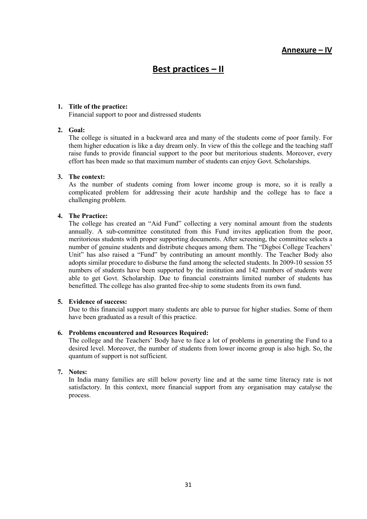# Best practices – II

### 1. Title of the practice:

Financial support to poor and distressed students

### 2. Goal:

The college is situated in a backward area and many of the students come of poor family. For them higher education is like a day dream only. In view of this the college and the teaching staff raise funds to provide financial support to the poor but meritorious students. Moreover, every effort has been made so that maximum number of students can enjoy Govt. Scholarships.

### 3. The context:

As the number of students coming from lower income group is more, so it is really a complicated problem for addressing their acute hardship and the college has to face a challenging problem.

### 4. The Practice:

The college has created an "Aid Fund" collecting a very nominal amount from the students annually. A sub-committee constituted from this Fund invites application from the poor, meritorious students with proper supporting documents. After screening, the committee selects a number of genuine students and distribute cheques among them. The "Digboi College Teachers' Unit" has also raised a "Fund" by contributing an amount monthly. The Teacher Body also adopts similar procedure to disburse the fund among the selected students. In 2009-10 session 55 numbers of students have been supported by the institution and 142 numbers of students were able to get Govt. Scholarship. Due to financial constraints limited number of students has benefitted. The college has also granted free-ship to some students from its own fund.

### 5. Evidence of success:

Due to this financial support many students are able to pursue for higher studies. Some of them have been graduated as a result of this practice.

### 6. Problems encountered and Resources Required:

The college and the Teachers' Body have to face a lot of problems in generating the Fund to a desired level. Moreover, the number of students from lower income group is also high. So, the quantum of support is not sufficient.

### 7. Notes:

In India many families are still below poverty line and at the same time literacy rate is not satisfactory. In this context, more financial support from any organisation may catalyse the process.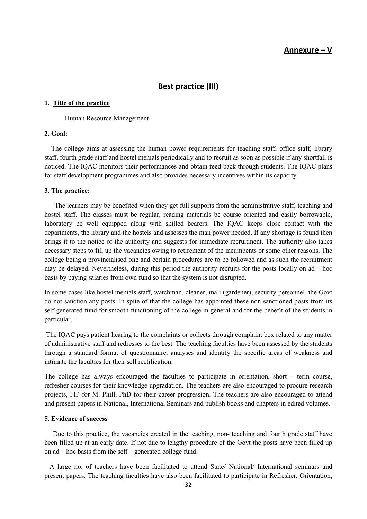### Annexure – V

### Best practice (III)

#### 1. Title of the practice

Human Resource Management

### 2. Goal:

 The college aims at assessing the human power requirements for teaching staff, office staff, library staff, fourth grade staff and hostel menials periodically and to recruit as soon as possible if any shortfall is noticed. The IQAC monitors their performances and obtain feed back through students. The IQAC plans for staff development programmes and also provides necessary incentives within its capacity.

#### 3. The practice:

 The learners may be benefited when they get full supports from the administrative staff, teaching and hostel staff. The classes must be regular, reading materials be course oriented and easily borrowable, laboratory be well equipped along with skilled bearers. The IQAC keeps close contact with the departments, the library and the hostels and assesses the man power needed. If any shortage is found then brings it to the notice of the authority and suggests for immediate recruitment. The authority also takes necessary steps to fill up the vacancies owing to retirement of the incumbents or some other reasons. The college being a provincialised one and certain procedures are to be followed and as such the recruitment may be delayed. Nevertheless, during this period the authority recruits for the posts locally on ad – hoc basis by paying salaries from own fund so that the system is not disrupted.

In some cases like hostel menials staff, watchman, cleaner, mali (gardener), security personnel, the Govt do not sanction any posts. In spite of that the college has appointed these non sanctioned posts from its self generated fund for smooth functioning of the college in general and for the benefit of the students in particular.

 The IQAC pays patient hearing to the complaints or collects through complaint box related to any matter of administrative staff and redresses to the best. The teaching faculties have been assessed by the students through a standard format of questionnaire, analyses and identify the specific areas of weakness and intimate the faculties for their self rectification.

The college has always encouraged the faculties to participate in orientation, short – term course, refresher courses for their knowledge upgradation. The teachers are also encouraged to procure research projects, FIP for M. Phill, PhD for their career progression. The teachers are also encouraged to attend and present papers in National, International Seminars and publish books and chapters in edited volumes.

#### 5. Evidence of success

 Due to this practice, the vacancies created in the teaching, non- teaching and fourth grade staff have been filled up at an early date. If not due to lengthy procedure of the Govt the posts have been filled up on ad – hoc basis from the self – generated college fund.

 A large no. of teachers have been facilitated to attend State/ National/ International seminars and present papers. The teaching faculties have also been facilitated to participate in Refresher, Orientation,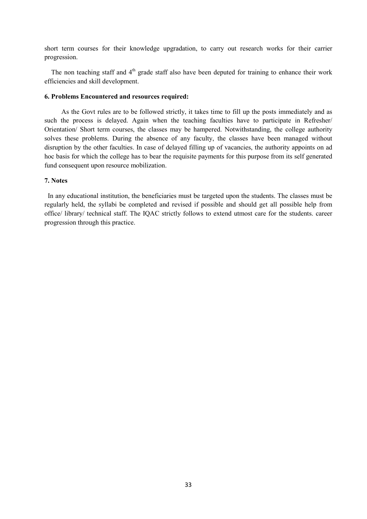short term courses for their knowledge upgradation, to carry out research works for their carrier progression.

The non teaching staff and  $4<sup>th</sup>$  grade staff also have been deputed for training to enhance their work efficiencies and skill development.

#### 6. Problems Encountered and resources required:

 As the Govt rules are to be followed strictly, it takes time to fill up the posts immediately and as such the process is delayed. Again when the teaching faculties have to participate in Refresher/ Orientation/ Short term courses, the classes may be hampered. Notwithstanding, the college authority solves these problems. During the absence of any faculty, the classes have been managed without disruption by the other faculties. In case of delayed filling up of vacancies, the authority appoints on ad hoc basis for which the college has to bear the requisite payments for this purpose from its self generated fund consequent upon resource mobilization.

#### 7. Notes

 In any educational institution, the beneficiaries must be targeted upon the students. The classes must be regularly held, the syllabi be completed and revised if possible and should get all possible help from office/ library/ technical staff. The IQAC strictly follows to extend utmost care for the students. career progression through this practice.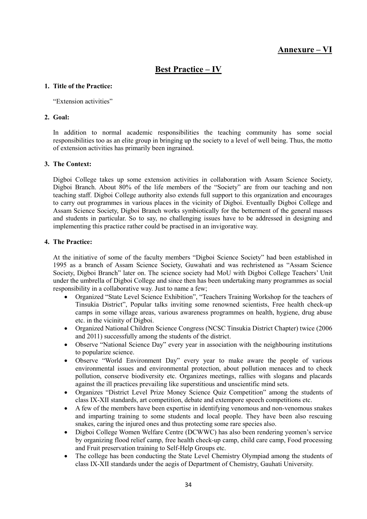# Annexure – VI

# Best Practice – IV

### 1. Title of the Practice:

"Extension activities"

### 2. Goal:

In addition to normal academic responsibilities the teaching community has some social responsibilities too as an elite group in bringing up the society to a level of well being. Thus, the motto of extension activities has primarily been ingrained.

### 3. The Context:

Digboi College takes up some extension activities in collaboration with Assam Science Society, Digboi Branch. About 80% of the life members of the "Society" are from our teaching and non teaching staff. Digboi College authority also extends full support to this organization and encourages to carry out programmes in various places in the vicinity of Digboi. Eventually Digboi College and Assam Science Society, Digboi Branch works symbiotically for the betterment of the general masses and students in particular. So to say, no challenging issues have to be addressed in designing and implementing this practice rather could be practised in an invigorative way.

### 4. The Practice:

At the initiative of some of the faculty members "Digboi Science Society" had been established in 1995 as a branch of Assam Science Society, Guwahati and was rechristened as "Assam Science Society, Digboi Branch" later on. The science society had MoU with Digboi College Teachers' Unit under the umbrella of Digboi College and since then has been undertaking many programmes as social responsibility in a collaborative way. Just to name a few;

- Organized "State Level Science Exhibition", "Teachers Training Workshop for the teachers of Tinsukia District", Popular talks inviting some renowned scientists, Free health check-up camps in some village areas, various awareness programmes on health, hygiene, drug abuse etc. in the vicinity of Digboi.
- Organized National Children Science Congress (NCSC Tinsukia District Chapter) twice (2006 and 2011) successfully among the students of the district.
- Observe "National Science Day" every year in association with the neighbouring institutions to popularize science.
- Observe "World Environment Day" every year to make aware the people of various environmental issues and environmental protection, about pollution menaces and to check pollution, conserve biodiversity etc. Organizes meetings, rallies with slogans and placards against the ill practices prevailing like superstitious and unscientific mind sets.
- Organizes "District Level Prize Money Science Quiz Competition" among the students of class IX-XII standards, art competition, debate and extempore speech competitions etc.
- A few of the members have been expertise in identifying venomous and non-venomous snakes and imparting training to some students and local people. They have been also rescuing snakes, caring the injured ones and thus protecting some rare species also.
- Digboi College Women Welfare Centre (DCWWC) has also been rendering yeomen's service by organizing flood relief camp, free health check-up camp, child care camp, Food processing and Fruit preservation training to Self-Help Groups etc.
- The college has been conducting the State Level Chemistry Olympiad among the students of class IX-XII standards under the aegis of Department of Chemistry, Gauhati University.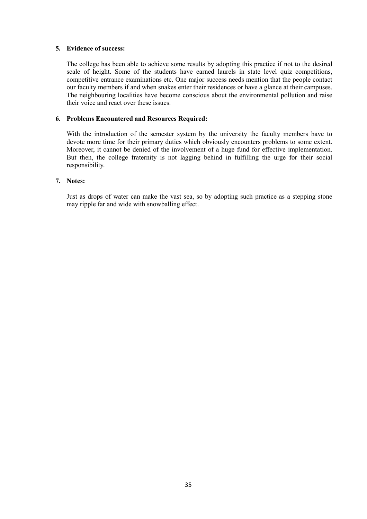### 5. Evidence of success:

The college has been able to achieve some results by adopting this practice if not to the desired scale of height. Some of the students have earned laurels in state level quiz competitions, competitive entrance examinations etc. One major success needs mention that the people contact our faculty members if and when snakes enter their residences or have a glance at their campuses. The neighbouring localities have become conscious about the environmental pollution and raise their voice and react over these issues.

### 6. Problems Encountered and Resources Required:

With the introduction of the semester system by the university the faculty members have to devote more time for their primary duties which obviously encounters problems to some extent. Moreover, it cannot be denied of the involvement of a huge fund for effective implementation. But then, the college fraternity is not lagging behind in fulfilling the urge for their social responsibility.

#### 7. Notes:

Just as drops of water can make the vast sea, so by adopting such practice as a stepping stone may ripple far and wide with snowballing effect.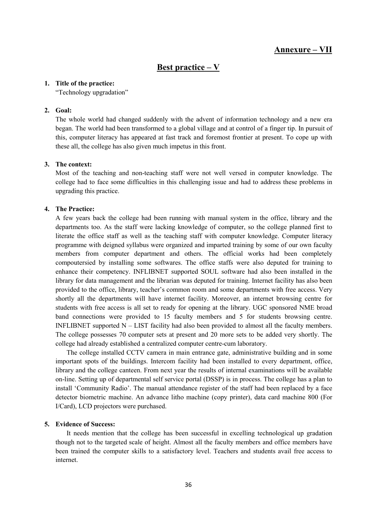### Annexure – VII

### Best practice – V

#### 1. Title of the practice:

"Technology upgradation"

#### 2. Goal:

The whole world had changed suddenly with the advent of information technology and a new era began. The world had been transformed to a global village and at control of a finger tip. In pursuit of this, computer literacy has appeared at fast track and foremost frontier at present. To cope up with these all, the college has also given much impetus in this front.

#### 3. The context:

Most of the teaching and non-teaching staff were not well versed in computer knowledge. The college had to face some difficulties in this challenging issue and had to address these problems in upgrading this practice.

### 4. The Practice:

A few years back the college had been running with manual system in the office, library and the departments too. As the staff were lacking knowledge of computer, so the college planned first to literate the office staff as well as the teaching staff with computer knowledge. Computer literacy programme with deigned syllabus were organized and imparted training by some of our own faculty members from computer department and others. The official works had been completely compoutersied by installing some softwares. The office staffs were also deputed for training to enhance their competency. INFLIBNET supported SOUL software had also been installed in the library for data management and the librarian was deputed for training. Internet facility has also been provided to the office, library, teacher's common room and some departments with free access. Very shortly all the departments will have internet facility. Moreover, an internet browsing centre for students with free access is all set to ready for opening at the library. UGC sponsored NME broad band connections were provided to 15 faculty members and 5 for students browsing centre. INFLIBNET supported  $N - LIST$  facility had also been provided to almost all the faculty members. The college possesses 70 computer sets at present and 20 more sets to be added very shortly. The college had already established a centralized computer centre-cum laboratory.

 The college installed CCTV camera in main entrance gate, administrative building and in some important spots of the buildings. Intercom facility had been installed to every department, office, library and the college canteen. From next year the results of internal examinations will be available on-line. Setting up of departmental self service portal (DSSP) is in process. The college has a plan to install 'Community Radio'. The manual attendance register of the staff had been replaced by a face detector biometric machine. An advance litho machine (copy printer), data card machine 800 (For I/Card), LCD projectors were purchased.

### 5. Evidence of Success:

It needs mention that the college has been successful in excelling technological up gradation though not to the targeted scale of height. Almost all the faculty members and office members have been trained the computer skills to a satisfactory level. Teachers and students avail free access to internet.